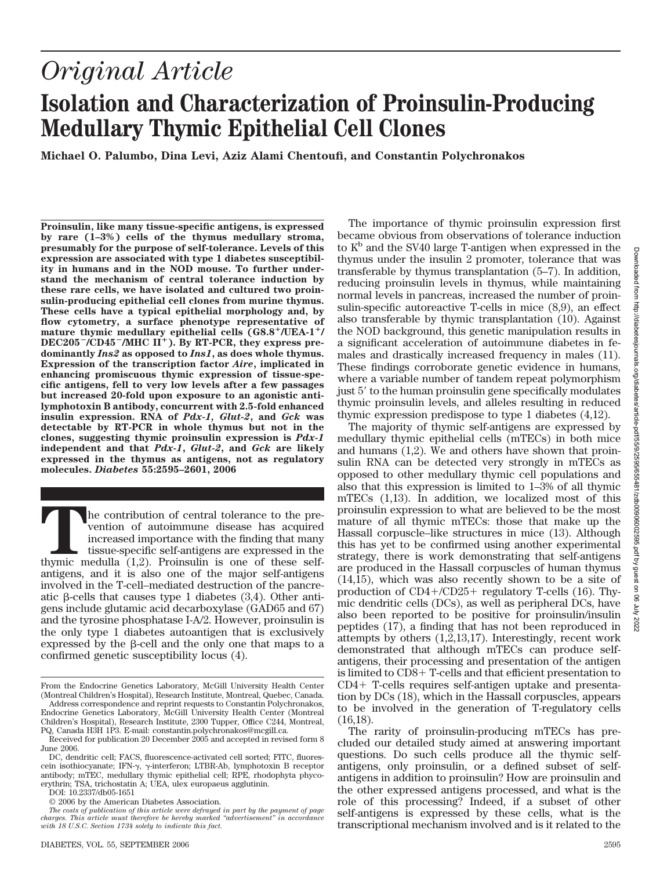# *Original Article*

# **Isolation and Characterization of Proinsulin-Producing Medullary Thymic Epithelial Cell Clones**

**Michael O. Palumbo, Dina Levi, Aziz Alami Chentoufi, and Constantin Polychronakos**

**Proinsulin, like many tissue-specific antigens, is expressed by rare (1–3%) cells of the thymus medullary stroma, presumably for the purpose of self-tolerance. Levels of this expression are associated with type 1 diabetes susceptibility in humans and in the NOD mouse. To further understand the mechanism of central tolerance induction by these rare cells, we have isolated and cultured two proinsulin-producing epithelial cell clones from murine thymus. These cells have a typical epithelial morphology and, by flow cytometry, a surface phenotype representative of mature thymic medullary epithelial cells (G8.8/UEA-1/ DEC205**-**/CD45**-**/MHC II). By RT-PCR, they express predominantly** *Ins2* **as opposed to** *Ins1***, as does whole thymus. Expression of the transcription factor** *Aire***, implicated in enhancing promiscuous thymic expression of tissue-specific antigens, fell to very low levels after a few passages but increased 20-fold upon exposure to an agonistic antilymphotoxin B antibody, concurrent with 2.5-fold enhanced insulin expression. RNA of** *Pdx-1, Glut-2***, and** *Gck* **was detectable by RT-PCR in whole thymus but not in the clones, suggesting thymic proinsulin expression is** *Pdx-1* **independent and that** *Pdx-1***,** *Glut-2***, and** *Gck* **are likely expressed in the thymus as antigens, not as regulatory molecules.** *Diabetes* **55:2595–2601, 2006**

The contribution of central tolerance to the prevention of autoimmune disease has acquired increased importance with the finding that many tissue-specific self-antigens are expressed in the thymic medulla (1,2). Proinsulin vention of autoimmune disease has acquired increased importance with the finding that many tissue-specific self-antigens are expressed in the antigens, and it is also one of the major self-antigens involved in the T-cell–mediated destruction of the pancreatic  $\beta$ -cells that causes type 1 diabetes (3,4). Other antigens include glutamic acid decarboxylase (GAD65 and 67) and the tyrosine phosphatase I-A/2. However, proinsulin is the only type 1 diabetes autoantigen that is exclusively expressed by the  $\beta$ -cell and the only one that maps to a confirmed genetic susceptibility locus (4).

DOI: 10.2337/db05-1651

The importance of thymic proinsulin expression first became obvious from observations of tolerance induction to  $K<sup>b</sup>$  and the SV40 large T-antigen when expressed in the thymus under the insulin 2 promoter, tolerance that was transferable by thymus transplantation (5–7). In addition, reducing proinsulin levels in thymus, while maintaining normal levels in pancreas, increased the number of proinsulin-specific autoreactive T-cells in mice (8,9), an effect also transferable by thymic transplantation (10). Against the NOD background, this genetic manipulation results in a significant acceleration of autoimmune diabetes in females and drastically increased frequency in males (11). These findings corroborate genetic evidence in humans, where a variable number of tandem repeat polymorphism just 5' to the human proinsulin gene specifically modulates thymic proinsulin levels, and alleles resulting in reduced thymic expression predispose to type 1 diabetes (4,12).

The majority of thymic self-antigens are expressed by medullary thymic epithelial cells (mTECs) in both mice and humans (1,2). We and others have shown that proinsulin RNA can be detected very strongly in mTECs as opposed to other medullary thymic cell populations and also that this expression is limited to 1–3% of all thymic mTECs (1,13). In addition, we localized most of this proinsulin expression to what are believed to be the most mature of all thymic mTECs: those that make up the Hassall corpuscle–like structures in mice (13). Although this has yet to be confirmed using another experimental strategy, there is work demonstrating that self-antigens are produced in the Hassall corpuscles of human thymus (14,15), which was also recently shown to be a site of production of  $CD4 + /CD25 +$  regulatory T-cells (16). Thymic dendritic cells (DCs), as well as peripheral DCs, have also been reported to be positive for proinsulin/insulin peptides (17), a finding that has not been reproduced in attempts by others (1,2,13,17). Interestingly, recent work demonstrated that although mTECs can produce selfantigens, their processing and presentation of the antigen is limited to  $CD8+T$ -cells and that efficient presentation to  $CD4+$  T-cells requires self-antigen uptake and presentation by DCs (18), which in the Hassall corpuscles, appears to be involved in the generation of T-regulatory cells (16,18).

The rarity of proinsulin-producing mTECs has precluded our detailed study aimed at answering important questions. Do such cells produce all the thymic selfantigens, only proinsulin, or a defined subset of selfantigens in addition to proinsulin? How are proinsulin and the other expressed antigens processed, and what is the role of this processing? Indeed, if a subset of other self-antigens is expressed by these cells, what is the transcriptional mechanism involved and is it related to the

From the Endocrine Genetics Laboratory, McGill University Health Center (Montreal Children's Hospital), Research Institute, Montreal, Quebec, Canada.

Address correspondence and reprint requests to Constantin Polychronakos, Endocrine Genetics Laboratory, McGill University Health Center (Montreal Children's Hospital), Research Institute, 2300 Tupper, Office C244, Montreal, PQ, Canada H3H 1P3. E-mail: constantin.polychronakos@mcgill.ca.

Received for publication 20 December 2005 and accepted in revised form 8 June 2006.

DC, dendritic cell; FACS, fluorescence-activated cell sorted; FITC, fluorescein isothiocyanate; IFN- $\gamma$ ,  $\gamma$ -interferon; LTBR-Ab, lymphotoxin B receptor antibody; mTEC, medullary thymic epithelial cell; RPE, rhodophyta phycoerythrin; TSA, trichostatin A; UEA, ulex europaeus agglutinin.

<sup>© 2006</sup> by the American Diabetes Association.

*The costs of publication of this article were defrayed in part by the payment of page charges. This article must therefore be hereby marked "advertisement" in accordance with 18 U.S.C. Section 1734 solely to indicate this fact.*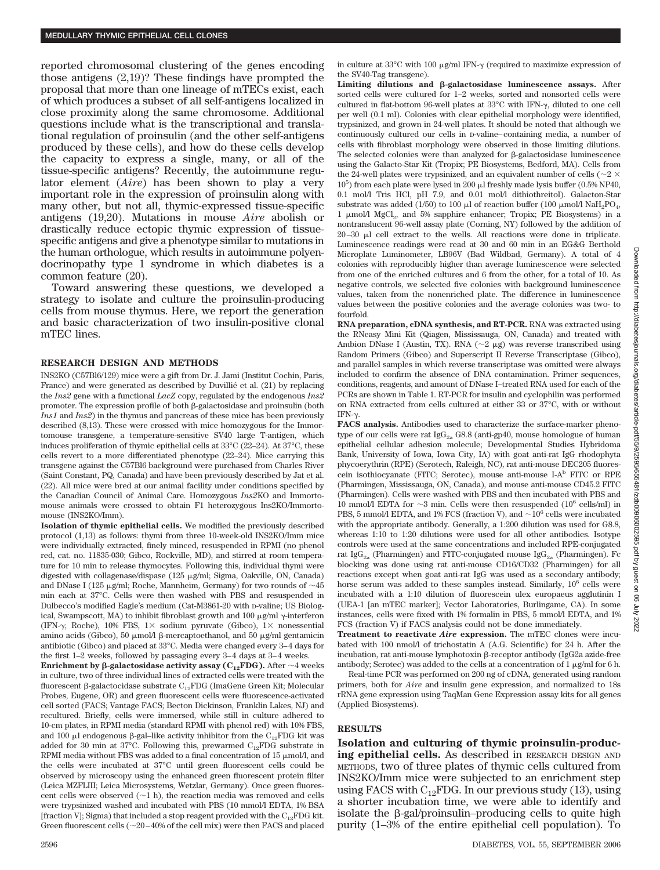reported chromosomal clustering of the genes encoding those antigens (2,19)? These findings have prompted the proposal that more than one lineage of mTECs exist, each of which produces a subset of all self-antigens localized in close proximity along the same chromosome. Additional questions include what is the transcriptional and translational regulation of proinsulin (and the other self-antigens produced by these cells), and how do these cells develop the capacity to express a single, many, or all of the tissue-specific antigens? Recently, the autoimmune regulator element (*Aire*) has been shown to play a very important role in the expression of proinsulin along with many other, but not all, thymic-expressed tissue-specific antigens (19,20). Mutations in mouse *Aire* abolish or drastically reduce ectopic thymic expression of tissuespecific antigens and give a phenotype similar to mutations in the human orthologue, which results in autoimmune polyendocrinopathy type 1 syndrome in which diabetes is a common feature (20).

Toward answering these questions, we developed a strategy to isolate and culture the proinsulin-producing cells from mouse thymus. Here, we report the generation and basic characterization of two insulin-positive clonal mTEC lines.

#### **RESEARCH DESIGN AND METHODS**

INS2KO (C57Bl6/129) mice were a gift from Dr. J. Jami (Institut Cochin, Paris, France) and were generated as described by Duvillié et al. (21) by replacing the *Ins2* gene with a functional *LacZ* copy, regulated by the endogenous *Ins2* promoter. The expression profile of both  $\beta$ -galactosidase and proinsulin (both *Ins1* and *Ins2*) in the thymus and pancreas of these mice has been previously described (8,13). These were crossed with mice homozygous for the Immortomouse transgene, a temperature-sensitive SV40 large T-antigen, which induces proliferation of thymic epithelial cells at 33°C (22–24). At 37°C, these cells revert to a more differentiated phenotype (22–24). Mice carrying this transgene against the C57Bl6 background were purchased from Charles River (Saint Constant, PQ, Canada) and have been previously described by Jat et al. (22). All mice were bred at our animal facility under conditions specified by the Canadian Council of Animal Care. Homozygous *Ins2*KO and Immortomouse animals were crossed to obtain F1 heterozygous Ins2KO/Immortomouse (INS2KO/Imm).

**Isolation of thymic epithelial cells.** We modified the previously described protocol (1,13) as follows: thymi from three 10-week-old INS2KO/Imm mice were individually extracted, finely minced, resuspended in RPMI (no phenol red, cat. no. 11835-030; Gibco, Rockville, MD), and stirred at room temperature for 10 min to release thymocytes. Following this, individual thymi were digested with collagenase/dispase  $(125 \mu g/ml)$ ; Sigma, Oakville, ON, Canada) and DNase I (125  $\mu$ g/ml; Roche, Mannheim, Germany) for two rounds of  $\sim$ 45 min each at 37°C. Cells were then washed with PBS and resuspended in Dulbecco's modified Eagle's medium (Cat-M3861-20 with D-valine; US Biological, Swampscott, MA) to inhibit fibroblast growth and 100  $\mu$ g/ml  $\gamma$ -interferon (IFN- $\gamma$ ; Roche), 10% FBS, 1× sodium pyruvate (Gibco), 1× nonessential amino acids (Gibco), 50  $\upmu \text{mol}/\text{l}$  β-mercaptoethanol, and 50  $\upmu \text{g}/\text{ml}$  gentamic<br>in antibiotic (Gibco) and placed at 33°C. Media were changed every 3– 4 days for the first  $1-2$  weeks, followed by passaging every  $3-4$  days at  $3-4$  weeks.

**Enrichment by**  $\beta$ **-galactosidase activity assay (** $C_{12}$ **FDG).** After  $\sim$ 4 weeks in culture, two of three individual lines of extracted cells were treated with the fluorescent  $\beta$ -galactocidase substrate C<sub>12</sub>FDG (ImaGene Green Kit; Molecular Probes, Eugene, OR) and green fluorescent cells were fluorescence-activated cell sorted (FACS; Vantage FACS; Becton Dickinson, Franklin Lakes, NJ) and recultured. Briefly, cells were immersed, while still in culture adhered to 10-cm plates, in RPMI media (standard RPMI with phenol red) with 10% FBS, and 100  $\mu$ l endogenous  $\beta$ -gal–like activity inhibitor from the C<sub>12</sub>FDG kit was added for 30 min at 37°C. Following this, prewarmed  $C_{12}$ FDG substrate in RPMI media without FBS was added to a final concentration of  $15 \mu \text{mol/l}$ , and the cells were incubated at 37°C until green fluorescent cells could be observed by microscopy using the enhanced green fluorescent protein filter (Leica MZFLIII; Leica Microsystems, Wetzlar, Germany). Once green fluorescent cells were observed  $(\sim]1$  h), the reaction media was removed and cells were trypsinized washed and incubated with PBS (10 mmol/l EDTA, 1% BSA [fraction V]; Sigma) that included a stop reagent provided with the  $C_{12}$ FDG kit. Green fluorescent cells  $(\sim 20 - 40\%$  of the cell mix) were then FACS and placed

in culture at  $33^{\circ}\mathrm{C}$  with 100  $\mu\mathrm{g/mL}$  (required to maximize expression of the SV40-Tag transgene).

Limiting dilutions and  $\beta$ -galactosidase luminescence assays. After sorted cells were cultured for 1–2 weeks, sorted and nonsorted cells were cultured in flat-bottom 96-well plates at  $33^{\circ}$ C with IFN- $\gamma$ , diluted to one cell per well (0.1 ml). Colonies with clear epithelial morphology were identified, trypsinized, and grown in 24-well plates. It should be noted that although we continuously cultured our cells in D-valine– containing media, a number of cells with fibroblast morphology were observed in those limiting dilutions. The selected colonies were than analyzed for  $\beta$ -galactosidase luminescence using the Galacto-Star Kit (Tropix; PE Biosystems, Bedford, MA). Cells from the 24-well plates were trypsinized, and an equivalent number of cells ( $\sim$ 2  $\times$  $10<sup>5</sup>$ ) from each plate were lysed in 200  $\mu$ l freshly made lysis buffer (0.5% NP40, 0.1 mol/l Tris HCl, pH 7.9, and 0.01 mol/l dithiothreitol). Galacton-Star substrate was added (1/50) to 100  $\mu$ l of reaction buffer (100  $\mu$ mol/l NaH<sub>2</sub>PO<sub>4</sub>, 1  $\mu$ mol/l MgCl<sub>2</sub>, and 5% sapphire enhancer; Tropix; PE Biosystems) in a nontranslucent 96-well assay plate (Corning, NY) followed by the addition of  $20-30$   $\mu$ l cell extract to the wells. All reactions were done in triplicate. Luminescence readings were read at 30 and 60 min in an EG&G Berthold Microplate Luminometer, LB96V (Bad Wildbad, Germany). A total of 4 colonies with reproducibly higher than average luminescence were selected from one of the enriched cultures and 6 from the other, for a total of 10. As negative controls, we selected five colonies with background luminescence values, taken from the nonenriched plate. The difference in luminescence values between the positive colonies and the average colonies was two- to fourfold.

**RNA preparation, cDNA synthesis, and RT-PCR.** RNA was extracted using the RNeasy Mini Kit (Qiagen, Mississauga, ON, Canada) and treated with Ambion DNase I (Austin, TX). RNA  $({\sim}2 \mu g)$  was reverse transcribed using Random Primers (Gibco) and Superscript II Reverse Transcriptase (Gibco), and parallel samples in which reverse transcriptase was omitted were always included to confirm the absence of DNA contamination. Primer sequences, conditions, reagents, and amount of DNase I–treated RNA used for each of the PCRs are shown in Table 1. RT-PCR for insulin and cyclophilin was performed on RNA extracted from cells cultured at either 33 or 37°C, with or without IFN- $\nu$ .

**FACS analysis.** Antibodies used to characterize the surface-marker phenotype of our cells were rat  $IgG_{2a}$  G8.8 (anti-gp40, mouse homologue of human epithelial cellular adhesion molecule; Developmental Studies Hybridoma Bank, University of Iowa, Iowa City, IA) with goat anti-rat IgG rhodophyta phycoerythrin (RPE) (Serotech, Raleigh, NC), rat anti-mouse DEC205 fluorescein isothiocyanate (FITC; Serotec), mouse anti-mouse I-A<sup>b</sup> FITC or RPE (Pharmingen, Mississauga, ON, Canada), and mouse anti-mouse CD45.2 FITC (Pharmingen). Cells were washed with PBS and then incubated with PBS and 10 mmol/l EDTA for  $\sim$ 3 min. Cells were then resuspended (10<sup>6</sup> cells/ml) in PBS, 5 mmol/l EDTA, and 1% FCS (fraction V), and  $\sim$ 10<sup>6</sup> cells were incubated with the appropriate antibody. Generally, a 1:200 dilution was used for G8.8, whereas 1:10 to 1:20 dilutions were used for all other antibodies. Isotype controls were used at the same concentrations and included RPE-conjugated rat Ig $G_{2a}$  (Pharmingen) and FITC-conjugated mouse Ig $G_{2a}$  (Pharmingen). Fc blocking was done using rat anti-mouse CD16/CD32 (Pharmingen) for all reactions except when goat anti-rat IgG was used as a secondary antibody; horse serum was added to these samples instead. Similarly,  $10^6$  cells were incubated with a 1:10 dilution of fluorescein ulex europaeus agglutinin I (UEA-1 [an mTEC marker]; Vector Laboratories, Burlingame, CA). In some instances, cells were fixed with 1% formalin in PBS, 5 mmol/l EDTA, and 1% FCS (fraction V) if FACS analysis could not be done immediately.

**Treatment to reactivate** *Aire* **expression.** The mTEC clones were incubated with 100 nmol/l of trichostatin A (A.G. Scientific) for 24 h. After the incubation, rat anti-mouse lymphotoxin  $\beta$ -receptor antibody (IgG2a azide-free antibody: Serotec) was added to the cells at a concentration of  $1 \mu\alpha/m$  for 6 h.

Real-time PCR was performed on 200 ng of cDNA, generated using random primers, both for *Aire* and insulin gene expression, and normalized to 18s rRNA gene expression using TaqMan Gene Expression assay kits for all genes (Applied Biosystems).

# **RESULTS**

**Isolation and culturing of thymic proinsulin-producing epithelial cells.** As described in RESEARCH DESIGN AND METHODS, two of three plates of thymic cells cultured from INS2KO/Imm mice were subjected to an enrichment step using FACS with  $C_{12}$ FDG. In our previous study (13), using a shorter incubation time, we were able to identify and isolate the  $\beta$ -gal/proinsulin–producing cells to quite high purity (1–3% of the entire epithelial cell population). To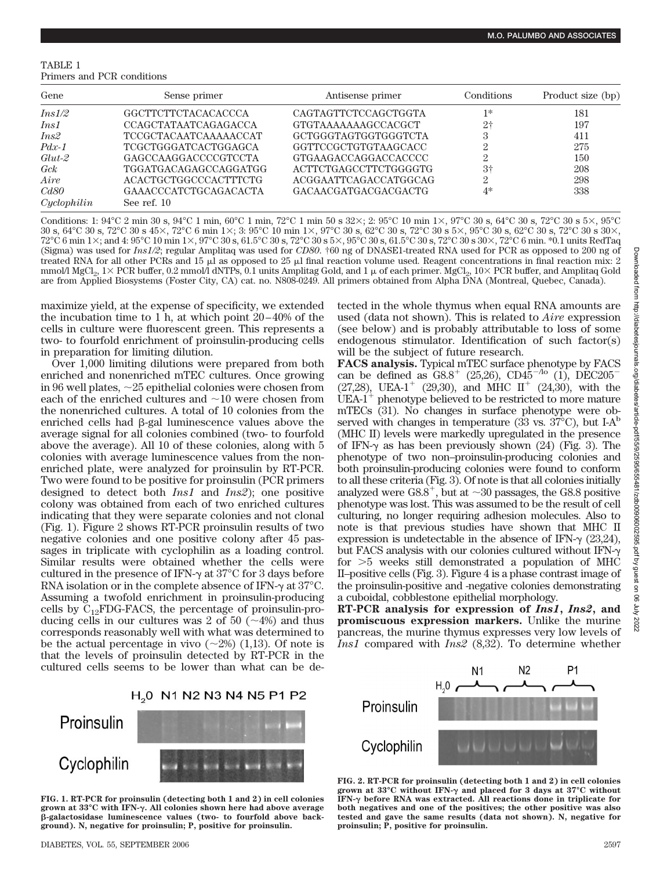TABLE 1 Primers and PCR conditions

| Gene             | Sense primer                                | Antisense primer           | Conditions     | Product size (bp) |
|------------------|---------------------------------------------|----------------------------|----------------|-------------------|
| Ins1/2           | GGCTTCTTCTACACACCCA                         | CAGTAGTTCTCCAGCTGGTA       | 1*             | 181               |
| Ins1             | CCAGCTATAATCAGAGACCA                        | <b>GTGTAAAAAAAGCCACGCT</b> | 2 <sup>†</sup> | 197               |
| Ins2             | <b>TCCGCTACAATCAAAAACCAT</b>                | GCTGGGTAGTGGTGGGTCTA       | 3              | 411               |
| $Pdx-1$          | <b>TCGCTGGGATCACTGGAGCA</b>                 | GGTTCCGCTGTGTAAGCACC       |                | 275               |
| $Glut-2$         | GAGCCAAGGACCCCGTCCTA                        | GTGAAGACCAGGACCACCCC       |                | 150               |
| Gck              | TGGATGACAGAGCCAGGATGG                       | ACTTCTGAGCCTTCTGGGGTG      | $3+$           | 208               |
| Aire             | ACACTGCTGGCCCACTTTCTG                       | ACGGAATTCAGACCATGGCAG      | 2              | 298               |
| Cd80<br>Cyclophi | <b>GAAACCCATCTGCAGACACTA</b><br>See ref. 10 | GACAACGATGACGACGACTG       | $4*$           | 338               |

Conditions: 1:  $94^{\circ}$ C 2 min 30 s,  $94^{\circ}$ C 1 min,  $60^{\circ}$ C 1 min,  $72^{\circ}$ C 1 min 50 s  $32\times$ ; 2:  $95^{\circ}$ C 10 min  $1\times$ ,  $97^{\circ}$ C 30 s,  $64^{\circ}$ C 30 s,  $72^{\circ}$ C 30 s  $5\times$ ,  $95^{\circ}$ C 30 s,  $64^{\circ}$ C 30 s,  $72^{\circ}$ C 30 s  $45\times$ ,  $72^{\circ}$ C 6 min  $1\times$ ; 3:  $95^{\circ}$ C 10 min  $1\times$ ,  $97^{\circ}$ C 30 s,  $62^{\circ}$ C 30 s,  $52^{\circ}$ C 30 s,  $5\times$ ,  $95^{\circ}$ C 30 s,  $62^{\circ}$ C 30 s,  $72^{\circ}$ C 30 s 30 $\times$ ,  $72^{\circ}$ C 6 min 1 $\times$ ; and 4:  $95^{\circ}$ C 10 min 1 $\times$ ,  $97^{\circ}$ C 30 s, 61.5°C 30 s, 72°C 30 s 5 $\times$ , 95°C 30 s, 61.5°C 30 s, 72°C 30 s, 72°C 30 s, 72°C 30 s, 72°C 6 min. \*0.1 units RedTaq (Sigma) was used for *Ins1/2*; regular Amplitaq was used for *CD80*. †60 ng of DNASE1-treated RNA used for PCR as opposed to 200 ng of treated RNA for all other PCRs and 15  $\mu$ l as opposed to 25  $\mu$ l final reaction volume used. Reagent concentrations in final reaction mix: 2 mmol/l MgCl<sub>2</sub>,  $1 \times$  PCR buffer, 0.2 mmol/l dNTPs, 0.1 units Amplitag Gold, and 1  $\mu$  of each primer. MgCl<sub>2</sub>,  $10 \times$  PCR buffer, and Amplitaq Gold are from Applied Biosystems (Foster City, CA) cat. no. N808-0249. All primers obtained from Alpha DNA (Montreal, Quebec, Canada).

maximize yield, at the expense of specificity, we extended the incubation time to 1 h, at which point  $20-40%$  of the cells in culture were fluorescent green. This represents a two- to fourfold enrichment of proinsulin-producing cells in preparation for limiting dilution.

Over 1,000 limiting dilutions were prepared from both enriched and nonenriched mTEC cultures. Once growing in 96 well plates,  $\sim$  25 epithelial colonies were chosen from each of the enriched cultures and  $\sim$ 10 were chosen from the nonenriched cultures. A total of 10 colonies from the enriched cells had  $\beta$ -gal luminescence values above the average signal for all colonies combined (two- to fourfold above the average). All 10 of these colonies, along with 5 colonies with average luminescence values from the nonenriched plate, were analyzed for proinsulin by RT-PCR. Two were found to be positive for proinsulin (PCR primers designed to detect both *Ins1* and *Ins2*); one positive colony was obtained from each of two enriched cultures indicating that they were separate colonies and not clonal (Fig. 1). Figure 2 shows RT-PCR proinsulin results of two negative colonies and one positive colony after 45 passages in triplicate with cyclophilin as a loading control. Similar results were obtained whether the cells were cultured in the presence of IFN- $\gamma$  at 37°C for 3 days before RNA isolation or in the complete absence of IFN- $\gamma$  at 37 $^{\circ}$ C. Assuming a twofold enrichment in proinsulin-producing cells by  $C_{12}FDG-FACS$ , the percentage of proinsulin-producing cells in our cultures was 2 of 50 ( $\sim$ 4%) and thus corresponds reasonably well with what was determined to be the actual percentage in vivo  $(\sim 2\%)$  (1,13). Of note is that the levels of proinsulin detected by RT-PCR in the cultured cells seems to be lower than what can be de-

H<sub>2</sub>0 N1 N2 N3 N4 N5 P1 P2



**FIG. 1. RT-PCR for proinsulin (detecting both 1 and 2) in cell colonies grown at 33°C with IFN-. All colonies shown here had above average -galactosidase luminescence values (two- to fourfold above background). N, negative for proinsulin; P, positive for proinsulin.**

tected in the whole thymus when equal RNA amounts are used (data not shown). This is related to *Aire* expression (see below) and is probably attributable to loss of some endogenous stimulator. Identification of such factor(s) will be the subject of future research.

**FACS analysis.** Typical mTEC surface phenotype by FACS can be defined as  $G8.8^+$  (25,26), CD45<sup>-/lo</sup> (1), DEC205<sup>-</sup> (27,28), UEA-1<sup>+</sup> (29,30), and MHC II<sup>+</sup> (24,30), with the  $UEA-1$ <sup>+</sup> phenotype believed to be restricted to more mature mTECs (31). No changes in surface phenotype were observed with changes in temperature (33 vs.  $37^{\circ}$ C), but I-A<sup>b</sup> (MHC II) levels were markedly upregulated in the presence of IFN- $\gamma$  as has been previously shown (24) (Fig. 3). The phenotype of two non–proinsulin-producing colonies and both proinsulin-producing colonies were found to conform to all these criteria (Fig. 3). Of note is that all colonies initially analyzed were G8.8<sup>+</sup>, but at  $\sim$  30 passages, the G8.8 positive phenotype was lost. This was assumed to be the result of cell culturing, no longer requiring adhesion molecules. Also to note is that previous studies have shown that MHC II expression is undetectable in the absence of IFN- $\gamma$  (23,24), but FACS analysis with our colonies cultured without IFN for  $>5$  weeks still demonstrated a population of MHC II–positive cells (Fig. 3). Figure 4 is a phase contrast image of the proinsulin-positive and -negative colonies demonstrating a cuboidal, cobblestone epithelial morphology.

**RT-PCR analysis for expression of** *Ins1***,** *Ins2***, and promiscuous expression markers.** Unlike the murine pancreas, the murine thymus expresses very low levels of *Ins1* compared with *Ins2* (8,32). To determine whether



**FIG. 2. RT-PCR for proinsulin (detecting both 1 and 2) in cell colonies grown at 33°C without IFN- and placed for 3 days at 37°C without IFN- before RNA was extracted. All reactions done in triplicate for both negatives and one of the positives; the other positive was also tested and gave the same results (data not shown). N, negative for proinsulin; P, positive for proinsulin.**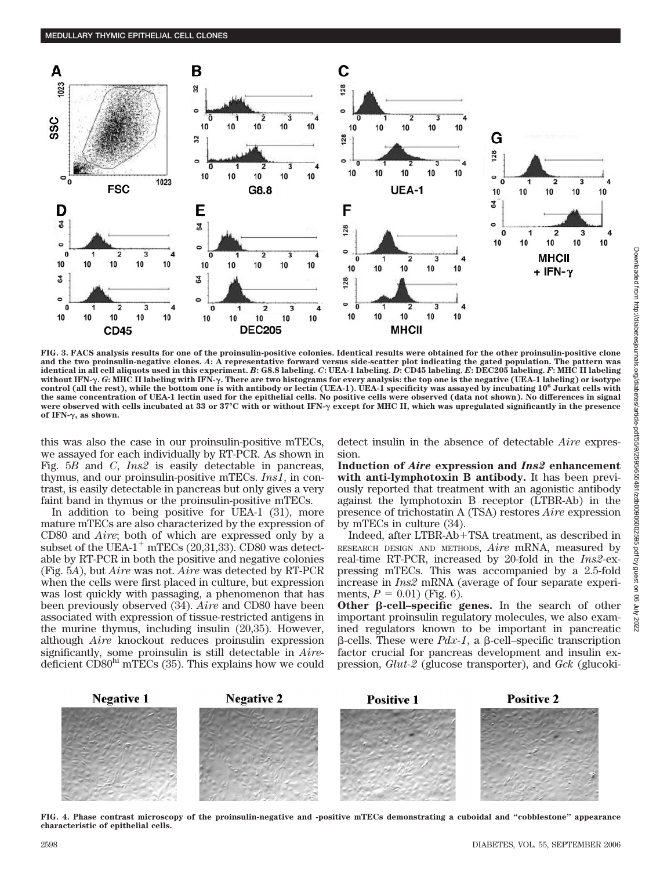

**FIG. 3. FACS analysis results for one of the proinsulin-positive colonies. Identical results were obtained for the other proinsulin-positive clone and the two proinsulin-negative clones.** *A***: A representative forward versus side-scatter plot indicating the gated population. The pattern was** identical in all cell aliquots used in this experiment. B: G8.8 labeling. C: UEA-1 labeling. D: CD45 labeling. E: DEC205 labeling. F: MHC II labeling **without IFN-.** *G***: MHC II labeling with IFN-. There are two histograms for every analysis: the top one is the negative (UEA-1 labeling) or isotype control (all the rest), while the bottom one is with antibody or lectin (UEA-1). UEA-1 specificity was assayed by incubating 106 Jurkat cells with the same concentration of UEA-1 lectin used for the epithelial cells. No positive cells were observed (data not shown). No differences in signal** were observed with cells incubated at 33 or 37°C with or without IFN- $\gamma$  except for MHC II, which was upregulated significantly in the presence **of IFN-, as shown.**

this was also the case in our proinsulin-positive mTECs, we assayed for each individually by RT-PCR. As shown in Fig. 5*B* and *C*, *Ins2* is easily detectable in pancreas, thymus, and our proinsulin-positive mTECs. *Ins1*, in contrast, is easily detectable in pancreas but only gives a very faint band in thymus or the proinsulin-positive mTECs.

In addition to being positive for UEA-1 (31), more mature mTECs are also characterized by the expression of CD80 and *Aire*; both of which are expressed only by a subset of the UEA- $1^+$  mTECs (20,31,33). CD80 was detectable by RT-PCR in both the positive and negative colonies (Fig. 5*A*), but *Aire* was not. *Aire* was detected by RT-PCR when the cells were first placed in culture, but expression was lost quickly with passaging, a phenomenon that has been previously observed (34). *Aire* and CD80 have been associated with expression of tissue-restricted antigens in the murine thymus, including insulin (20,35). However, although *Aire* knockout reduces proinsulin expression significantly, some proinsulin is still detectable in *Aire*deficient CD80<sup>hi</sup> mTECs (35). This explains how we could detect insulin in the absence of detectable *Aire* expression.

**Induction of** *Aire* **expression and** *Ins2* **enhancement with anti-lymphotoxin B antibody.** It has been previously reported that treatment with an agonistic antibody against the lymphotoxin B receptor (LTBR-Ab) in the presence of trichostatin A (TSA) restores *Aire* expression by mTECs in culture (34).

Indeed, after LTBR-Ab+TSA treatment, as described in RESEARCH DESIGN AND METHODS, *Aire* mRNA, measured by real-time RT-PCR, increased by 20-fold in the *Ins2*-expressing mTECs. This was accompanied by a 2.5-fold increase in *Ins2* mRNA (average of four separate experiments,  $P = 0.01$ ) (Fig. 6).

**Other β-cell–specific genes.** In the search of other important proinsulin regulatory molecules, we also examined regulators known to be important in pancreatic  $\beta$ -cells. These were *Pdx-1*, a  $\beta$ -cell–specific transcription factor crucial for pancreas development and insulin expression, *Glut-2* (glucose transporter), and *Gck* (glucoki-



**FIG. 4. Phase contrast microscopy of the proinsulin-negative and -positive mTECs demonstrating a cuboidal and "cobblestone" appearance characteristic of epithelial cells.**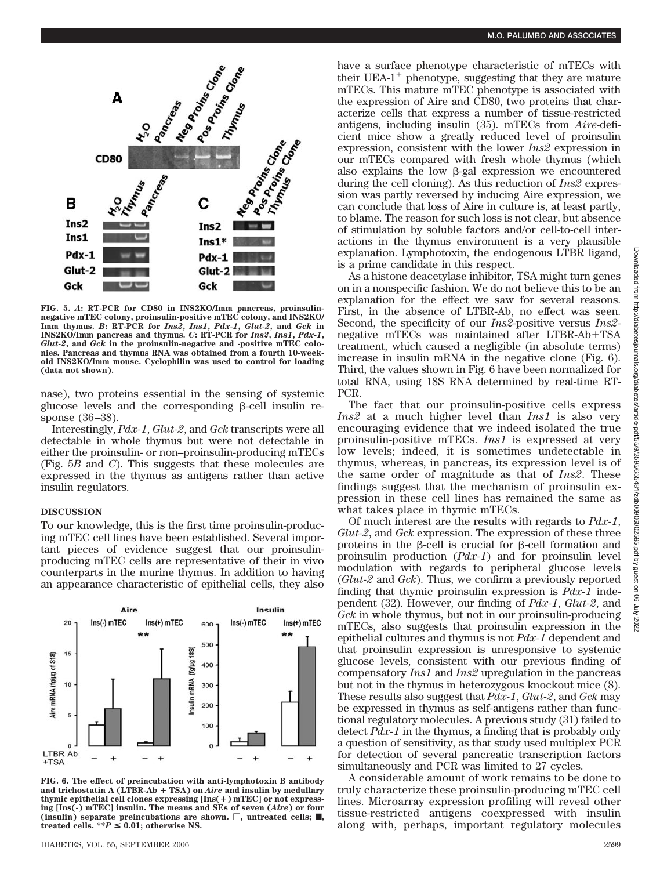

**FIG. 5.** *A***: RT-PCR for CD80 in INS2KO/Imm pancreas, proinsulinnegative mTEC colony, proinsulin-positive mTEC colony, and INS2KO/ Imm thymus.** *B***: RT-PCR for** *Ins2***,** *Ins1***,** *Pdx-1***,** *Glut-2***, and** *Gck* **in INS2KO/Imm pancreas and thymus.** *C***: RT-PCR for** *Ins2***,** *Ins1***,** *Pdx-1***,** *Glut-2***, and** *Gck* **in the proinsulin-negative and -positive mTEC colonies. Pancreas and thymus RNA was obtained from a fourth 10-weekold INS2KO/Imm mouse. Cyclophilin was used to control for loading (data not shown).**

nase), two proteins essential in the sensing of systemic glucose levels and the corresponding  $\beta$ -cell insulin response (36 –38).

Interestingly, *Pdx-1*, *Glut-2*, and *Gck* transcripts were all detectable in whole thymus but were not detectable in either the proinsulin- or non–proinsulin-producing mTECs (Fig. 5*B* and *C*). This suggests that these molecules are expressed in the thymus as antigens rather than active insulin regulators.

# **DISCUSSION**

To our knowledge, this is the first time proinsulin-producing mTEC cell lines have been established. Several important pieces of evidence suggest that our proinsulinproducing mTEC cells are representative of their in vivo counterparts in the murine thymus. In addition to having an appearance characteristic of epithelial cells, they also



**FIG. 6. The effect of preincubation with anti-lymphotoxin B antibody and trichostatin A (LTBR-Ab TSA) on** *Aire* **and insulin by medullary thymic epithelial cell clones expressing [Ins() mTEC] or not expressing [Ins(-) mTEC] insulin. The means and SEs of seven (***Aire***) or four** (insulin) separate preincubations are shown.  $\Box$ , untreated cells;  $\blacksquare$ , treated cells.  $*P \leq 0.01$ ; otherwise NS.

have a surface phenotype characteristic of mTECs with their UEA- $1^+$  phenotype, suggesting that they are mature mTECs. This mature mTEC phenotype is associated with the expression of Aire and CD80, two proteins that characterize cells that express a number of tissue-restricted antigens, including insulin (35). mTECs from *Aire*-deficient mice show a greatly reduced level of proinsulin expression, consistent with the lower *Ins2* expression in our mTECs compared with fresh whole thymus (which also explains the low  $\beta$ -gal expression we encountered during the cell cloning). As this reduction of *Ins2* expression was partly reversed by inducing Aire expression, we can conclude that loss of Aire in culture is, at least partly, to blame. The reason for such loss is not clear, but absence of stimulation by soluble factors and/or cell-to-cell interactions in the thymus environment is a very plausible explanation. Lymphotoxin, the endogenous LTBR ligand, is a prime candidate in this respect.

As a histone deacetylase inhibitor, TSA might turn genes on in a nonspecific fashion. We do not believe this to be an explanation for the effect we saw for several reasons. First, in the absence of LTBR-Ab, no effect was seen. Second, the specificity of our *Ins2*-positive versus *Ins2* negative mTECs was maintained after LTBR-Ab+TSA treatment, which caused a negligible (in absolute terms) increase in insulin mRNA in the negative clone (Fig. 6). Third, the values shown in Fig. 6 have been normalized for total RNA, using 18S RNA determined by real-time RT-PCR.

The fact that our proinsulin-positive cells express *Ins2* at a much higher level than *Ins1* is also very encouraging evidence that we indeed isolated the true proinsulin-positive mTECs. *Ins1* is expressed at very low levels; indeed, it is sometimes undetectable in thymus, whereas, in pancreas, its expression level is of the same order of magnitude as that of *Ins2*. These findings suggest that the mechanism of proinsulin expression in these cell lines has remained the same as what takes place in thymic mTECs.

Of much interest are the results with regards to *Pdx-1*, *Glut-2*, and *Gck* expression. The expression of these three proteins in the  $\beta$ -cell is crucial for  $\beta$ -cell formation and proinsulin production (*Pdx-1*) and for proinsulin level modulation with regards to peripheral glucose levels (*Glut-2* and *Gck*). Thus, we confirm a previously reported finding that thymic proinsulin expression is *Pdx-1* independent (32). However, our finding of *Pdx-1*, *Glut-2*, and *Gck* in whole thymus, but not in our proinsulin-producing mTECs, also suggests that proinsulin expression in the epithelial cultures and thymus is not *Pdx-1* dependent and that proinsulin expression is unresponsive to systemic glucose levels, consistent with our previous finding of compensatory *Ins1* and *Ins2* upregulation in the pancreas but not in the thymus in heterozygous knockout mice (8). These results also suggest that *Pdx-1*, *Glut-2*, and *Gck* may be expressed in thymus as self-antigens rather than functional regulatory molecules. A previous study (31) failed to detect *Pdx-1* in the thymus, a finding that is probably only a question of sensitivity, as that study used multiplex PCR for detection of several pancreatic transcription factors simultaneously and PCR was limited to 27 cycles.

A considerable amount of work remains to be done to truly characterize these proinsulin-producing mTEC cell lines. Microarray expression profiling will reveal other tissue-restricted antigens coexpressed with insulin along with, perhaps, important regulatory molecules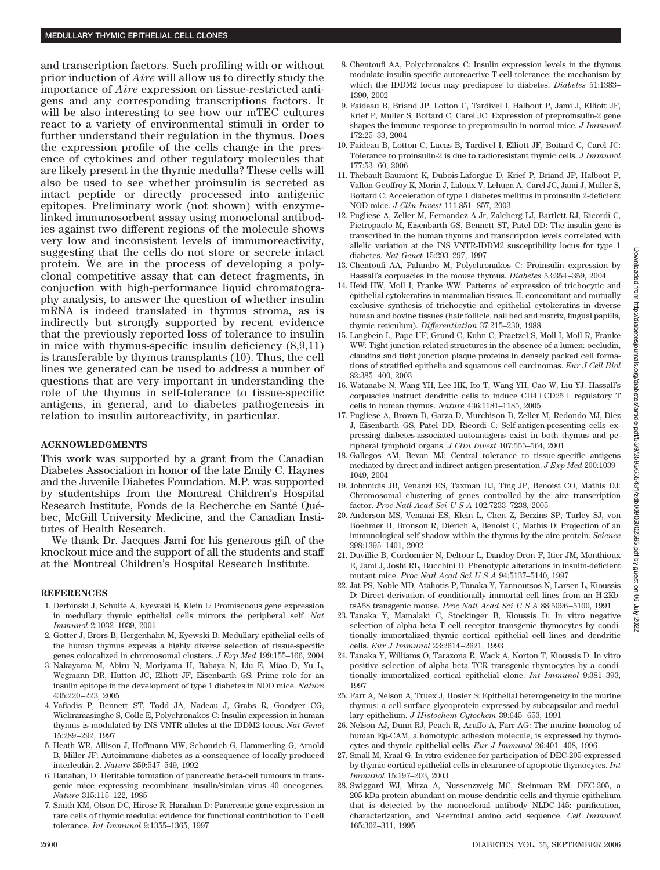and transcription factors. Such profiling with or without prior induction of *Aire* will allow us to directly study the importance of *Aire* expression on tissue-restricted antigens and any corresponding transcriptions factors. It will be also interesting to see how our mTEC cultures react to a variety of environmental stimuli in order to further understand their regulation in the thymus. Does the expression profile of the cells change in the presence of cytokines and other regulatory molecules that are likely present in the thymic medulla? These cells will also be used to see whether proinsulin is secreted as intact peptide or directly processed into antigenic epitopes. Preliminary work (not shown) with enzymelinked immunosorbent assay using monoclonal antibodies against two different regions of the molecule shows very low and inconsistent levels of immunoreactivity, suggesting that the cells do not store or secrete intact protein. We are in the process of developing a polyclonal competitive assay that can detect fragments, in conjuction with high-performance liquid chromatography analysis, to answer the question of whether insulin mRNA is indeed translated in thymus stroma, as is indirectly but strongly supported by recent evidence that the previously reported loss of tolerance to insulin in mice with thymus-specific insulin deficiency (8,9,11) is transferable by thymus transplants (10). Thus, the cell lines we generated can be used to address a number of questions that are very important in understanding the role of the thymus in self-tolerance to tissue-specific antigens, in general, and to diabetes pathogenesis in relation to insulin autoreactivity, in particular.

### **ACKNOWLEDGMENTS**

This work was supported by a grant from the Canadian Diabetes Association in honor of the late Emily C. Haynes and the Juvenile Diabetes Foundation. M.P. was supported by studentships from the Montreal Children's Hospital Research Institute, Fonds de la Recherche en Santé Québec, McGill University Medicine, and the Canadian Institutes of Health Research.

We thank Dr. Jacques Jami for his generous gift of the knockout mice and the support of all the students and staff at the Montreal Children's Hospital Research Institute.

## **REFERENCES**

- 1. Derbinski J, Schulte A, Kyewski B, Klein L: Promiscuous gene expression in medullary thymic epithelial cells mirrors the peripheral self. *Nat Immunol* 2:1032–1039, 2001
- 2. Gotter J, Brors B, Hergenhahn M, Kyewski B: Medullary epithelial cells of the human thymus express a highly diverse selection of tissue-specific genes colocalized in chromosomal clusters. *J Exp Med* 199:155–166, 2004
- 3. Nakayama M, Abiru N, Moriyama H, Babaya N, Liu E, Miao D, Yu L, Wegmann DR, Hutton JC, Elliott JF, Eisenbarth GS: Prime role for an insulin epitope in the development of type 1 diabetes in NOD mice. *Nature* 435:220 –223, 2005
- 4. Vafiadis P, Bennett ST, Todd JA, Nadeau J, Grabs R, Goodyer CG, Wickramasinghe S, Colle E, Polychronakos C: Insulin expression in human thymus is modulated by INS VNTR alleles at the IDDM2 locus. *Nat Genet* 15:289 –292, 1997
- 5. Heath WR, Allison J, Hoffmann MW, Schonrich G, Hammerling G, Arnold B, Miller JF: Autoimmune diabetes as a consequence of locally produced interleukin-2. *Nature* 359:547–549, 1992
- 6. Hanahan, D: Heritable formation of pancreatic beta-cell tumours in transgenic mice expressing recombinant insulin/simian virus 40 oncogenes. *Nature* 315:115–122, 1985
- 7. Smith KM, Olson DC, Hirose R, Hanahan D: Pancreatic gene expression in rare cells of thymic medulla: evidence for functional contribution to T cell tolerance. *Int Immunol* 9:1355–1365, 1997
- 8. Chentoufi AA, Polychronakos C: Insulin expression levels in the thymus modulate insulin-specific autoreactive T-cell tolerance: the mechanism by which the IDDM2 locus may predispose to diabetes. *Diabetes* 51:1383– 1390, 2002
- 9. Faideau B, Briand JP, Lotton C, Tardivel I, Halbout P, Jami J, Elliott JF, Krief P, Muller S, Boitard C, Carel JC: Expression of preproinsulin-2 gene shapes the immune response to preproinsulin in normal mice. *J Immunol* 172:25–33, 2004
- 10. Faideau B, Lotton C, Lucas B, Tardivel I, Elliott JF, Boitard C, Carel JC: Tolerance to proinsulin-2 is due to radioresistant thymic cells. *J Immunol* 177:53– 60, 2006
- 11. Thebault-Baumont K, Dubois-Laforgue D, Krief P, Briand JP, Halbout P, Vallon-Geoffroy K, Morin J, Laloux V, Lehuen A, Carel JC, Jami J, Muller S, Boitard C: Acceleration of type 1 diabetes mellitus in proinsulin 2-deficient NOD mice. *J Clin Invest* 111:851– 857, 2003
- 12. Pugliese A, Zeller M, Fernandez A Jr, Zalcberg LJ, Bartlett RJ, Ricordi C, Pietropaolo M, Eisenbarth GS, Bennett ST, Patel DD: The insulin gene is transcribed in the human thymus and transcription levels correlated with allelic variation at the INS VNTR-IDDM2 susceptibility locus for type 1 diabetes. *Nat Genet* 15:293–297, 1997
- 13. Chentoufi AA, Palumbo M, Polychronakos C: Proinsulin expression by Hassall's corpuscles in the mouse thymus. *Diabetes* 53:354 –359, 2004
- 14. Heid HW, Moll I, Franke WW: Patterns of expression of trichocytic and epithelial cytokeratins in mammalian tissues. II. concomitant and mutually exclusive synthesis of trichocytic and epithelial cytokeratins in diverse human and bovine tissues (hair follicle, nail bed and matrix, lingual papilla, thymic reticulum). *Differentiation* 37:215–230, 1988
- 15. Langbein L, Pape UF, Grund C, Kuhn C, Praetzel S, Moll I, Moll R, Franke WW: Tight junction-related structures in the absence of a lumen: occludin, claudins and tight junction plaque proteins in densely packed cell formations of stratified epithelia and squamous cell carcinomas. *Eur J Cell Biol* 82:385– 400, 2003
- 16. Watanabe N, Wang YH, Lee HK, Ito T, Wang YH, Cao W, Liu YJ: Hassall's corpuscles instruct dendritic cells to induce  $CD4 + CD25 +$  regulatory T cells in human thymus. *Nature* 436:1181–1185, 2005
- 17. Pugliese A, Brown D, Garza D, Murchison D, Zeller M, Redondo MJ, Diez J, Eisenbarth GS, Patel DD, Ricordi C: Self-antigen-presenting cells expressing diabetes-associated autoantigens exist in both thymus and peripheral lymphoid organs. *J Clin Invest* 107:555–564, 2001
- 18. Gallegos AM, Bevan MJ: Central tolerance to tissue-specific antigens mediated by direct and indirect antigen presentation. *J Exp Med* 200:1039 – 1049, 2004
- 19. Johnnidis JB, Venanzi ES, Taxman DJ, Ting JP, Benoist CO, Mathis DJ: Chromosomal clustering of genes controlled by the aire transcription factor. *Proc Natl Acad SciUSA* 102:7233–7238, 2005
- 20. Anderson MS, Venanzi ES, Klein L, Chen Z, Berzins SP, Turley SJ, von Boehmer H, Bronson R, Dierich A, Benoist C, Mathis D: Projection of an immunological self shadow within the thymus by the aire protein. *Science* 298:1395–1401, 2002
- 21. Duvillie B, Cordonnier N, Deltour L, Dandoy-Dron F, Itier JM, Monthioux E, Jami J, Joshi RL, Bucchini D: Phenotypic alterations in insulin-deficient mutant mice. *Proc Natl Acad SciUSA* 94:5137–5140, 1997
- 22. Jat PS, Noble MD, Ataliotis P, Tanaka Y, Yannoutsos N, Larsen L, Kioussis D: Direct derivation of conditionally immortal cell lines from an H-2KbtsA58 transgenic mouse. *Proc Natl Acad SciUSA* 88:5096 –5100, 1991
- 23. Tanaka Y, Mamalaki C, Stockinger B, Kioussis D: In vitro negative selection of alpha beta T cell receptor transgenic thymocytes by conditionally immortalized thymic cortical epithelial cell lines and dendritic cells. *Eur J Immunol* 23:2614 –2621, 1993
- 24. Tanaka Y, Williams O, Tarazona R, Wack A, Norton T, Kioussis D: In vitro positive selection of alpha beta TCR transgenic thymocytes by a conditionally immortalized cortical epithelial clone. *Int Immunol* 9:381–393, 1997
- 25. Farr A, Nelson A, Truex J, Hosier S: Epithelial heterogeneity in the murine thymus: a cell surface glycoprotein expressed by subcapsular and medullary epithelium. *J Histochem Cytochem* 39:645– 653, 1991
- 26. Nelson AJ, Dunn RJ, Peach R, Aruffo A, Farr AG: The murine homolog of human Ep-CAM, a homotypic adhesion molecule, is expressed by thymocytes and thymic epithelial cells. *Eur J Immunol* 26:401– 408, 1996
- 27. Small M, Kraal G: In vitro evidence for participation of DEC-205 expressed by thymic cortical epithelial cells in clearance of apoptotic thymocytes. *Int Immunol* 15:197–203, 2003
- 28. Swiggard WJ, Mirza A, Nussenzweig MC, Steinman RM: DEC-205, a 205-kDa protein abundant on mouse dendritic cells and thymic epithelium that is detected by the monoclonal antibody NLDC-145: purification, characterization, and N-terminal amino acid sequence. *Cell Immunol* 165:302–311, 1995